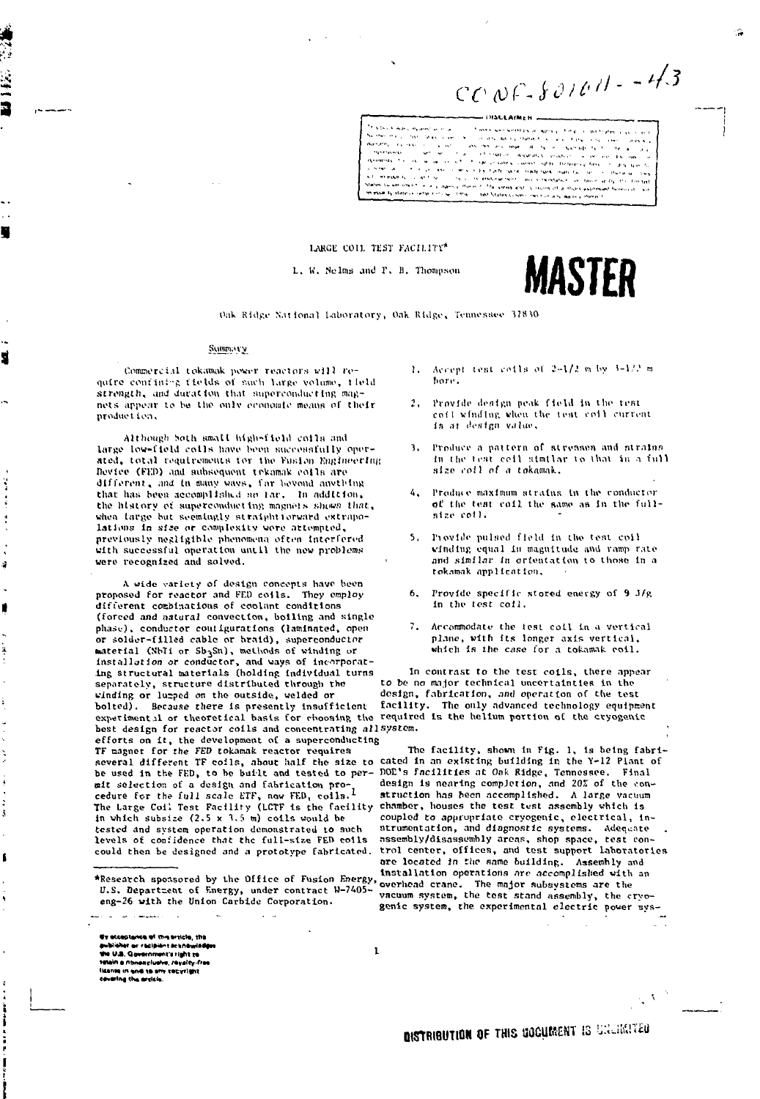$CCOP-SO1CH - -4/3$ 

.<br>The County Age Line serviza al analisto del Nether Hard Hard<br>Walters Hard Hard Article of the Subject Advisor (experimental primary) for process and the context of the context of the context<br>(2) the state of the context and the context and the context of the primary (e.g.)<br>(3) the state of the contex Services. era caso ().<br>Altri mana i. **Systemster**<br>Permittels (The Coc *College Company* nekers to include<br>http://www.com/silips.com<br>Company.com/silips.com<br>http://www.com/silips.com/silips .<br>. . . . The product of the contract of the product of and preparation of the constant of a stock approach of the series of the constant of the series of the series of the series of the series of the series of the series of the series of the series of the series of the series  $m_{\rm{max}}$ in essai la state companya co-

### lARCli COll. TEST KACIL1TV'

*I. V.* Melma and r . II. Thompson

# **WAS I.2N**

### Summary

۴

sÌ

á

Commercial tokamak power reactors will require confinies fields of such large volume, field strength, and duration that superconducting magnets appear to be the only economic means of their product ion,

Although hoth small high-field colls and large low-field colls have been successfully operated, total requirements for the Fusion Engineering Device (FED) and aubsequent trkamak coils are different, and in many ways, far beyond anything that has been accomplished so far. In addition, the history of superconducting magnets shows that, when large but seemingly straightforward extrapolations in size or complexity were attempted, previously negligible phenomena often interfered with successful operation until the new problems were recognised and solved.

A wide variety of design concepts have been proposed for reactor and FED coils. They employ different combinations of coolant conditions (forced and natural convection, boiling and single phase), conductor coutigurations (laminated, open or solder-filled cable or braid), superconductor material (SbIi or Sb3Sn), methods of winding or installation or conductor, and ways of incorporating structural materials (holding individual turns separately, structure distributed through the winding or lumped on the outside, welded or bolted). Because there is presently insufficient facility. The only advanced technology equipment experimental or theoretical basis for choosing the required is the helium portion of the cryogenic best design for reactor coils and concentrating all system, efforts on it, the development of a superconducting TF magnet for the FED tokamak reactor requires The facility, shown in Fig. 1,, is being fabriseveral different TF coils, about half the size to cated in an existing building in the Y-12 Plant of<br>he used in the FFD, to be built and tested to per- DOD's facilities at Oak Ridge, Tennessee. Final be used in the FED, to be built and tested to per- DOE's facilities at On& Ridge, Tennessee,<br>mit selection of a design and fabrication pro- a design is nearing completion, and 20% of t<br>cedure for the full scale ETF, now FE The Large Coil Test Facility (LCTF is the facility in which subsize  $(2.5 \times 3.5 \text{ m})$  coils would be in which subsize (2.5 x 1.5 m) coils would be coupled to appropriate cryogenic, electrical, in-<br>tested and system operation demonstrated to such strumentation, and diagnostic systems. Adequate tested and system operation demonstrated to such strumentation, and diagnostic systems. Adequate<br>levels of confidence that the full-size FED coils assembly/disassembly areas, shop space, test conlevels of confidence that the full-size FED coils assembly/disassembly areas, shop space, test con-<br>could then be designed and a prototype fabricated, trol center, offices, and test support laboratori

U.S. Departzent of Energy, under contract W-7405eng-26 with the Union Carbide Corporation.

 $\mathbf{r}$ 

•» wuet\*nc« •< n **the main of the main of the main of the main of the U.S. Government's right response to the U.S. Government's right response to the U.S. Government's right response to the U.S. Government's right response to the U.S. Cons** 

المستوفي المراد

- oils of 2-1/2 m by 3-1/2 m  $\mathbf{r}$ . hore.
- cofl winding when the test coil curren is ar design value. 2. Provide design peak field in the rest
- 3. Produce a pattern of strensen and strains in the test coil similar to that in a full Hise I'OJI *nf* .t tokamak.
- 4. Produce maximum strains in the conductor of the test coil the same as in the fullnir.i> *coi).*
- 1'iovlile pulsed field In Lhv tcnl coll winding equal in magnitude and ramp rate and similar in orientation to those in a tokamak application.
- Provide specific stored energy of 9 J/R in the tost colJ.
- Arcommodatu the test coLl in a vertical plane, with its longer axis vertical. which Is the *case* lor a toknmak coil.

In contrast to the test coils, there appear to be no major technical uncertainties in the design, fabrication, and operation of the test

design is nearing completion, and 20% of the construction has been accomplished. A large vacuum<br>chamber, houses the test test assembly which is trol center, offices, and test support laboratories are located in the same building. Assembly and ." . , , , ".,. \_ \_ , " installation operations ore accomplished with an overhead crane. The major subsystems are the vacuum system, the test stand assembly, the cryogenic system, the experimental electric power svs-

**DISTRIBUTION OF THIS UOCUMENT IS UNLIMITED** 

 $\mathcal{R}^{\mathcal{A}}$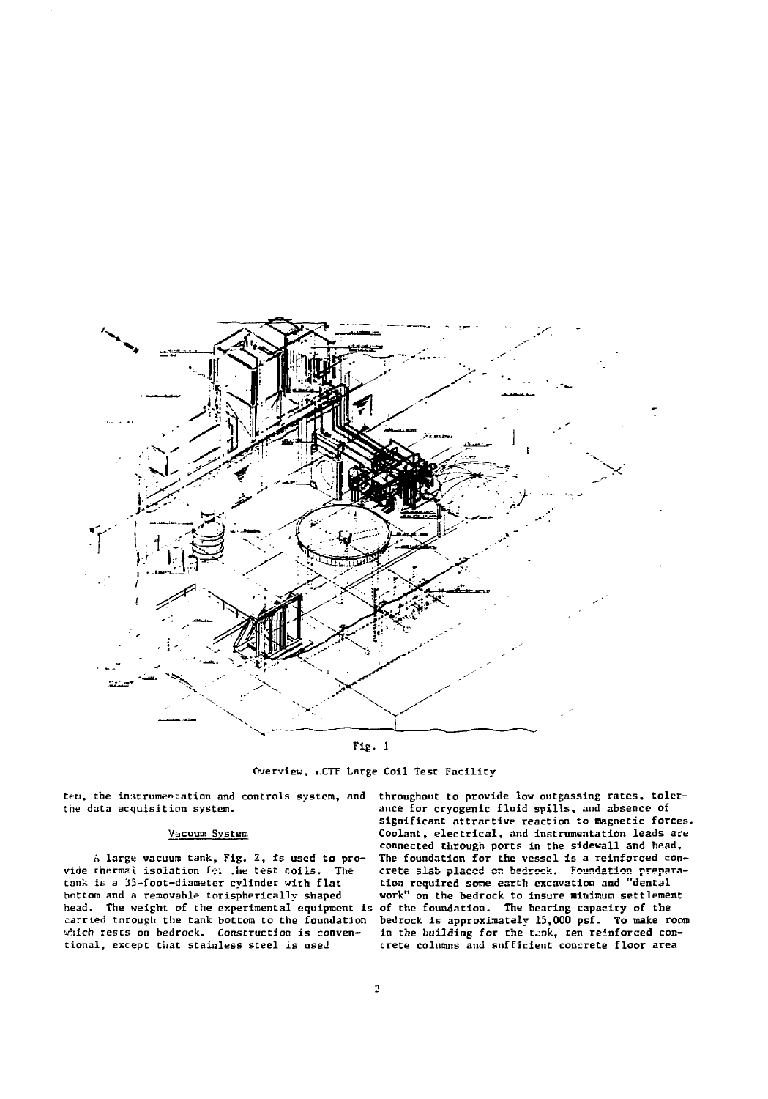

Fig. 1

Overview, i.CTF Large Coil Test Facility

ten, the instrumentation and controls system, and the data acquisition system.

### Vacuum System

A large vacuum tank. Fig. 2, fs used to provide therms! isolation  $f_{\text{Pl}}$  , he test coils. The tank is a 35-foot-diameter cylinder with flat bottom and a removable torispherically shaped head. The weight of the experimental equipment is carried tnrough the tank bottom to the foundation which rests on bedrock. Construction is conventional, except that stainless steel is used

throughout to provide low outgassing rates, tolerance for cryogenic fluid spills, and absence of significant attractive reaction to magnetic forces. Coolant, electrical, and instrumentation leads are connected through ports in the sidewall and head. The foundation for the vessel is a reinforced con-crete slab placed cr. bedrock. Foundation prepara-tion required some earth excavation and "dental work" on the bedrock to insure minimum settlement of the foundation. The bearing capacity of the bedrock is approximately 15,000 psf- To make room in the building for the tank, ten reinforced concrete columns and sufficient concrete floor area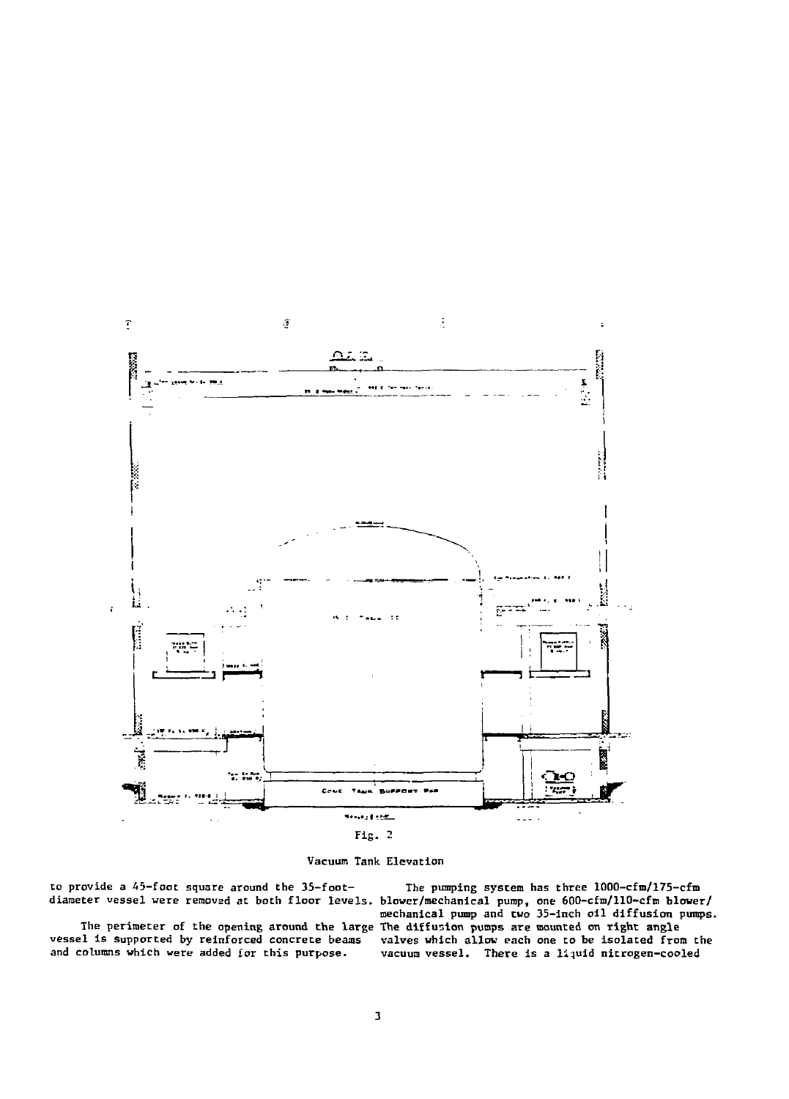

Vacuum Tank Elevation

to provide a 45-foot square around the 35-foot- The pumping system has three 1000-cfm/175-cfm

vessel is supported by reinforced concrete beams valves which allow each one to be isolated from the<br>and columns which were added for this purpose. vacuum vessel. There is a liquid nitrogen-cooled

diameter vessel were removed at both floor levels, blower/mechanical pump, one 600-cfm/110-cfm blower/ mechanical pump and two 35-inch oil diffusion pumps. The perimeter of the opening around the large The diffusion pumps are mounted on right angle<br>vessel is supported by reinforced concrete beams valves which allow each one to be isolated from vacuum vessel. There is a liquid nitrogen-cooled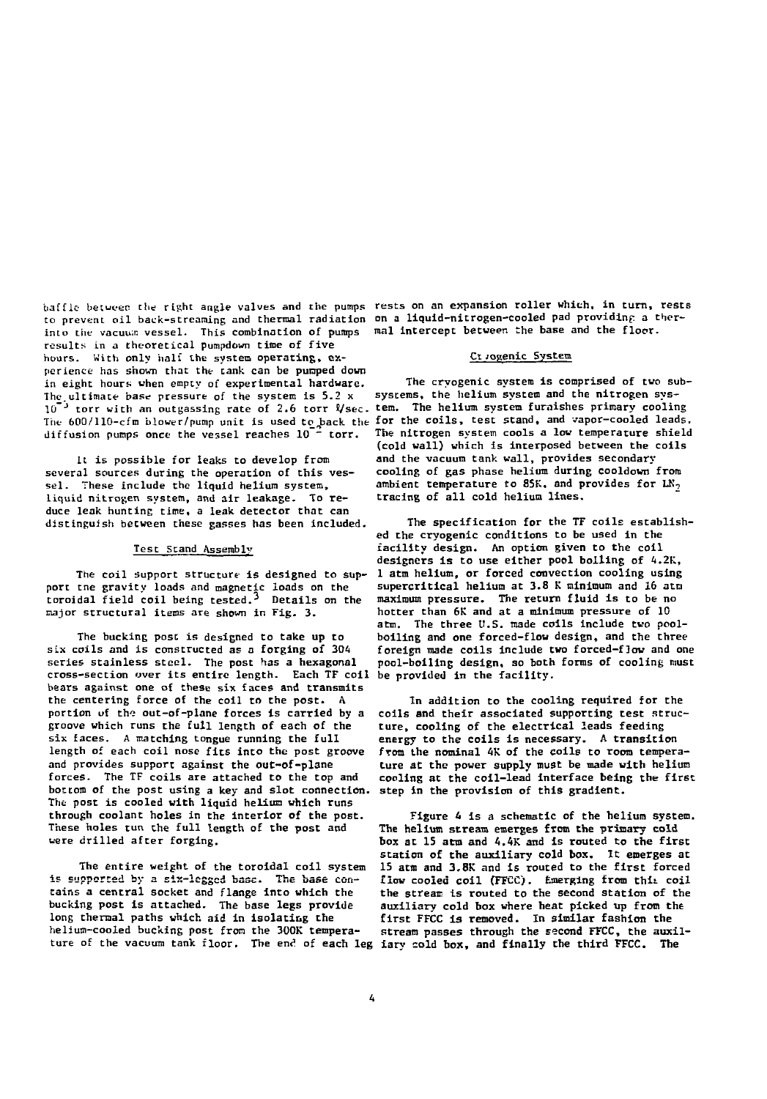**to prevent oil back-streaming and thermal radiation on a liquid-nitrogen-cooled pad providinp a therinto the vacuum vessel. This combination of pumps mal intercept between the base and the floor, results in a theoretical pumpdown time of five hours. With only hall the system operating, ex- Cl jogenic System perience has shown that the tank can be pumped down** .<br>In eight hours when empty of experimental hardware. The cryogenic system is comprised of two sub-<br>The ultimate hase pressure of the system is 5.2 x systems, the helium system and the nitrogen sys-The ultimate base pressure of the system is 5.2 x  $10^{-3}$  torr with an outgassing rate of 2.6 torr  $V$ sec. tem. The helium system furnishes primary cooling The 600/110-cfm blower/pump unit is used to back the for the coils, test stand, and vapor-cooled leads. **diffusion pumps once the vessel reaches 10~" torr. The nitrogen system cools a low temperature shield**

**it is possible for leaks to develop from several sources during the operation of this vessel . These include the liquid helium system, liquid nitrogen system, and air leakage. To reduce leak hunting time, a leak detector that can distinguish between these passes has been included**

### **Test Stand Assembly**

port tne gravity loads and magnetic loads on the supercritical helium at 3.8 K minimum and 16 atm<br>toroidal field coil heing tested.<sup>3</sup> Details on the maximum pressure. The return fluid is to be no **toroidal field coil being tested.-\* Details on the maximum pressure. The return fluid is to be no major structural items are shown in Fig. 3. hotter than 6K and at a minimum pressure of 10**

**The bucking post is designed to take up to six coils and is constructed as a forging of 304 series stainless steel. The post has a hexagonal** cross-section over its entire length. Each TF coil **bears against one of these six faces and transmits the centering force of the coil to the post. A** portion of the out-of-plane forces is carried by a **groove which runs the full length of each of the six faces. A matching tongue running the full length of each coil nose fits into the post groove and provides support against the out-of-plane forces. The TF coils are attached to the top and bottom of the post using a key and slot connection, step in the provision of this gradient. Trie post is cooled with liquid helium which runs through coolant holes in the interior of the post These holes run the full length of the post and were drilled after forging.**

**The entire weight of the toroidal coil system is supported by a six-legged base. The base contains a central socket and flange into which the bucking post is attached. The base legs provide long thermal paths which aid in isolating the helium-cooled bucking post from the 300K tempera**ture of the vacuum tank floor. The end of each leg iary cold box, and finally the third FFCC. The

**baffle- between the right angle valves and the pumps rests on an expansion roller which, in turn, rests**

**(cold wall) which is interposed between the coils and the vacuum tank wall, provides secondary cooling of gas phase helium during cooldown from ambient temperature to 85K, and provides for LK<sup>7</sup> tracing of all cold helium lines.**

**The specification for the TF coils established the cryogenic conditions to be used in the facility design. An option given to the coil designers is to use either pool boiling of 4.2K,** The coil support structure is designed to sup- 1 atm helium, or forced convection cooling using<br>the gravity loads and magnetic loads on the supercritical helium at 3.8 K minimum and 16 atm **atm. The three U.S. made coils include two poolboiling and one forced-flou design, and the three foreign made coils include two forced-flow and one pool-boiling design, so both forms of cooling must**

> **In addition to the cooling required for the coils and their associated supporting test structure, cooling of the electrical leads feeding energy to the coils is necessary. A transition from the nominal 4K of the coils to room temperature at the power supply must be made with helium cooling at the coil-lead interface being the first**

> **Figure A is a schematic of the helium system. The helium stream emerges from the primary cold box at 15 atm and 4.4K and is routed to the first station of the auxiliary cold box. It emerges at 15 atm and 3.8K and is routed to the first forced £low cooled coil (FFCC). Emerging from chit coil the stream is routed to the second station of the auxiliary cold box where heat picked up from the first FFCC is removed. In similar fashion the stream passes through the second FFCC, the auxil-**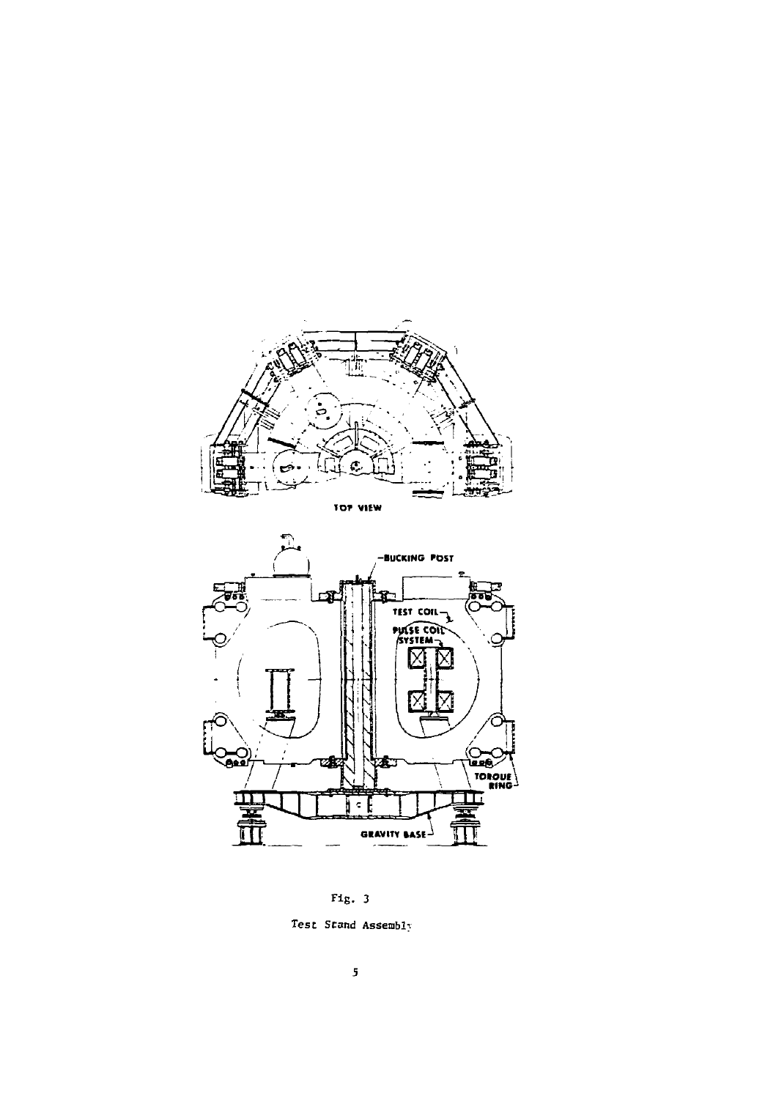



Fig. 3

Test Stand Assembly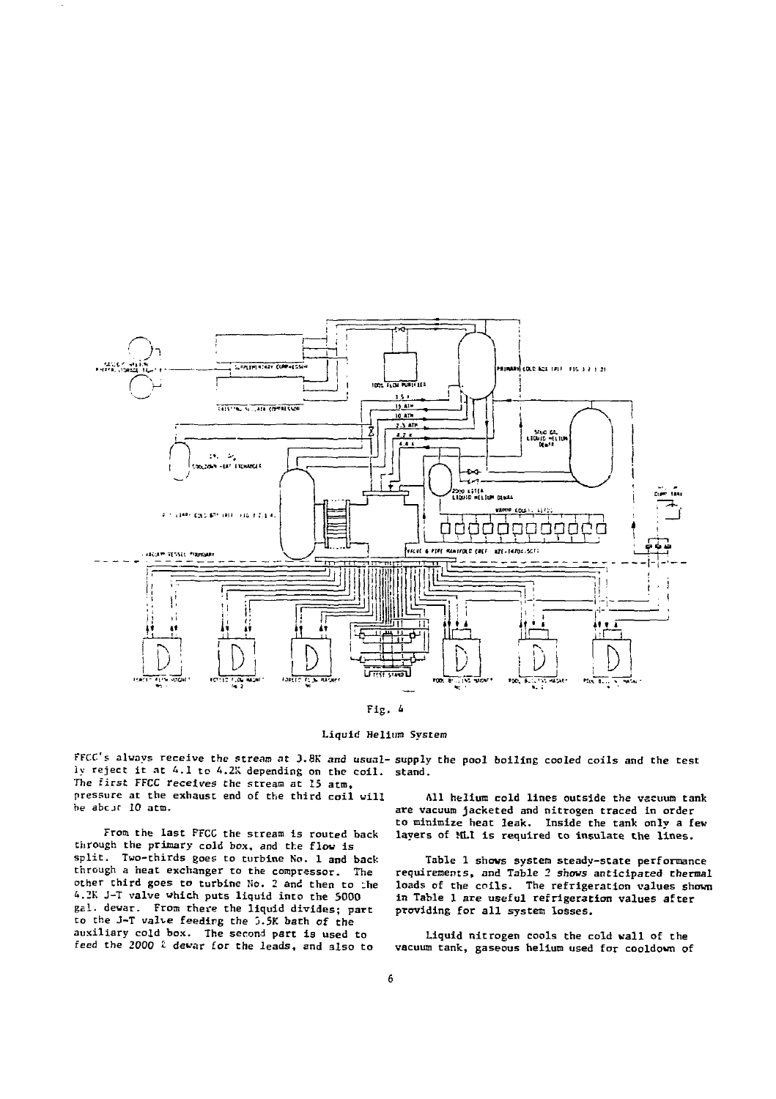

Liquid Helium System

FFCC's always receive the stream at 3.8K and usual-supply the pool boiling cooled coils and the test ly reject it at 4.1 to 4.2K depending on the coil. stand.

The first FFCC receives the stream at 15 acm, pressure at the exhaust end of the third coil will .<br>be abcit 10 atm.

From the last FFCC the stream is routed back through the primary cold box, and the flow is split. Two-thirds goes to turbine No. 1 and back through a heat exchanger to the compressor. The other third goes to turbine No. 2 and then to ;he 4.2K J-T valve which puts liquid into the 5000 gal. dewar. From there the liquid divides; part to the J-T valve feeding the j.5K bath of the auxiliary cold box. The second part is used to feed the 2000 £ dewar for the leads, and also to

All helium cold lines outside the vacuum tank are vacuum jacketed and nitrogen traced in order to minimize heat leak. Inside the tank only a fev layers of MLI is required to insulate the lines.

Table 1 shows system steady-state performance requirements, and Table 2 shows anticipated thermal loads of the coils. The refrigeration values shown in Table 1 are useful refrigeration values after providing for all system losses.

Liquid nitrogen cools the cold wall of the vacuum tank, gaseous helium used for cooldown of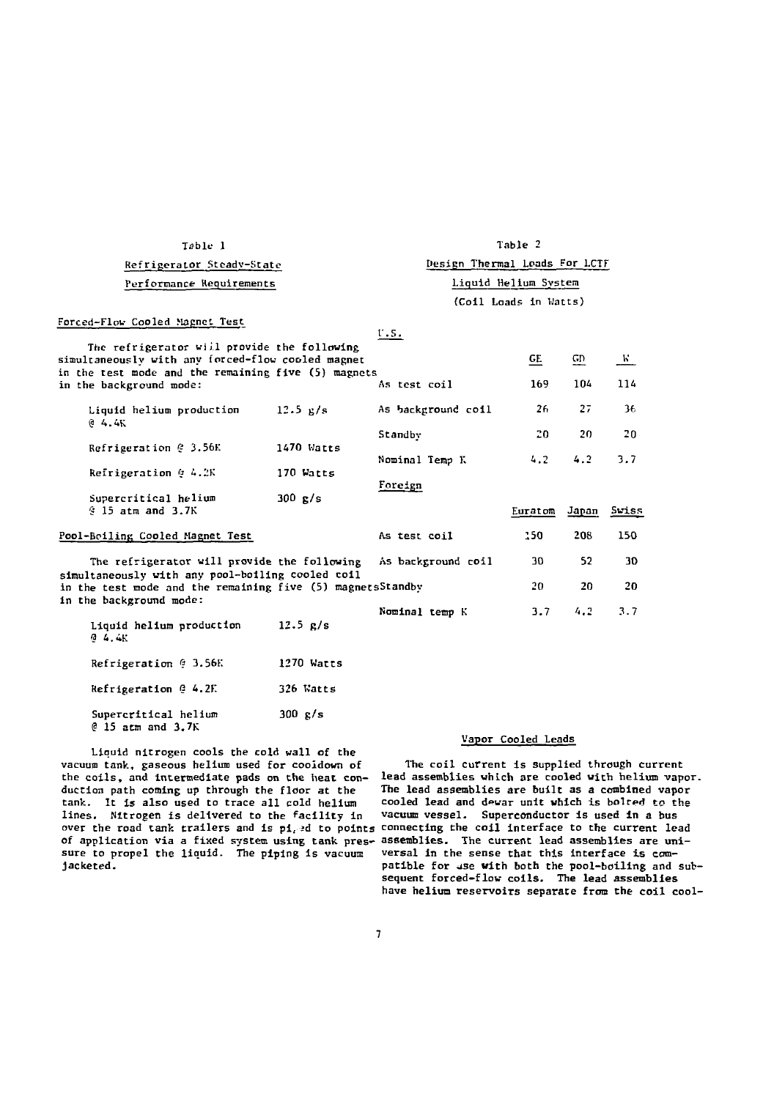| Table 1                                                                                                                                                       |                   | Table 2                                       |                               |       |       |
|---------------------------------------------------------------------------------------------------------------------------------------------------------------|-------------------|-----------------------------------------------|-------------------------------|-------|-------|
| Refrigerator Steady-State                                                                                                                                     |                   |                                               | Design Thermal Loads For LCTF |       |       |
| Performance Requirements                                                                                                                                      |                   | Liquid Helium System<br>(Coil Loads in Watts) |                               |       |       |
|                                                                                                                                                               |                   |                                               |                               |       |       |
|                                                                                                                                                               | GЕ                | GD                                            | K.                            |       |       |
| As test coil                                                                                                                                                  | 169               | 104                                           | 114                           |       |       |
| Liquid helium production<br>64.4K                                                                                                                             | 12.5 g/s          | As background coil                            | 26                            | 27    | 36    |
|                                                                                                                                                               |                   | Standby                                       | 20                            | 20    | 20    |
| Refrigeration @ 3.56K                                                                                                                                         | 1470 Watts        | Nominal Temp K                                | 4.2                           | 4.2   | 3.7   |
| Refrigeration @ 4.2K                                                                                                                                          | 170 Watts         | Foreign                                       |                               |       |       |
| Supercritical helium<br>$9.15$ atm and $3.7K$                                                                                                                 | $300 \text{ g/s}$ |                                               | Euratom                       | Janan | Swiss |
| Pool-Boiling Cooled Magnet Test                                                                                                                               |                   | As test coil                                  | 150                           | 208   | 150   |
| The refrigerator will provide the following<br>simultaneously with any pool-boiling cooled coil<br>in the test mode and the remaining five (5) magnetsStandby |                   | As background coil                            | 30                            | 52    | 30    |
|                                                                                                                                                               |                   |                                               | 20.                           | 20    | 20    |
| in the background mode:<br>Liquid helium production<br>0 4.4K                                                                                                 | $12.5$ $R/s$      | Nominal temp K                                | 3.7                           | 4.2   | 3.7   |
| Refrigeration $6\,$ 3.56K                                                                                                                                     | 1270 Watts        |                                               |                               |       |       |
| Refrigeration @ 4.2F.                                                                                                                                         | 326 Watts         |                                               |                               |       |       |
| Supercritical helium                                                                                                                                          | 300 g/s           |                                               |                               |       |       |

Liquid nitrogen cools the cold wall of the vacuum tank, gaseous helium used for cooidown of the coils, and intermediate pads on the heat conduction path coming up through the floor at the tank. It is also used to trace all cold helium lines. Nitrogen is delivered to the facility in lines. Nitrogen is delivered to the facility in Vacuum vessel. Superconductor is used in a bus<br>over the road tank trailers and is pi, ed to points connecting the coil interface to the current lead of application via a fixed system using tank pres-assemblies. The current lead assemblies are unisure to propel the liquid. The piping is vacuum versal in the sense that this interface is comjacketed.

 $@$  15 atm and 3.7K

## Vapor Cooled Leads

The coil current is supplied through current lead assemblies which are cooled with helium vapor. The lead assemblies are built as a combined vapor cooled lead and dewar unit which is bolred to the patible for use with both the pool-boiling and subsequent forced-flow coils. The lead assemblies have helium reservoirs separate from the coil cool-